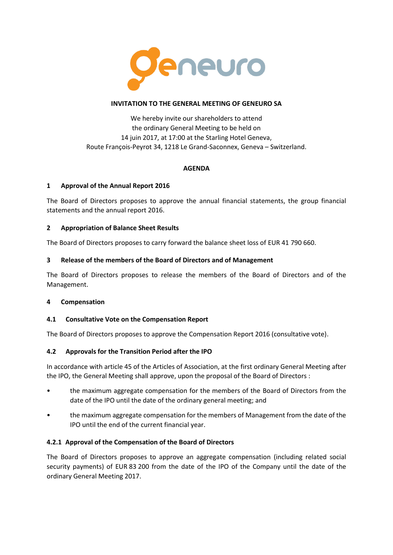

### **INVITATION TO THE GENERAL MEETING OF GENEURO SA**

We hereby invite our shareholders to attend the ordinary General Meeting to be held on 14 juin 2017, at 17:00 at the Starling Hotel Geneva, Route François-Peyrot 34, 1218 Le Grand-Saconnex, Geneva – Switzerland.

## **AGENDA**

## **1 Approval of the Annual Report 2016**

The Board of Directors proposes to approve the annual financial statements, the group financial statements and the annual report 2016.

### **2 Appropriation of Balance Sheet Results**

The Board of Directors proposes to carry forward the balance sheet loss of EUR 41 790 660.

### **3 Release of the members of the Board of Directors and of Management**

The Board of Directors proposes to release the members of the Board of Directors and of the Management.

#### **4 Compensation**

#### **4.1 Consultative Vote on the Compensation Report**

The Board of Directors proposes to approve the Compensation Report 2016 (consultative vote).

## **4.2 Approvals for the Transition Period after the IPO**

In accordance with article 45 of the Articles of Association, at the first ordinary General Meeting after the IPO, the General Meeting shall approve, upon the proposal of the Board of Directors :

- the maximum aggregate compensation for the members of the Board of Directors from the date of the IPO until the date of the ordinary general meeting; and
- the maximum aggregate compensation for the members of Management from the date of the IPO until the end of the current financial year.

## **4.2.1 Approval of the Compensation of the Board of Directors**

The Board of Directors proposes to approve an aggregate compensation (including related social security payments) of EUR 83 200 from the date of the IPO of the Company until the date of the ordinary General Meeting 2017.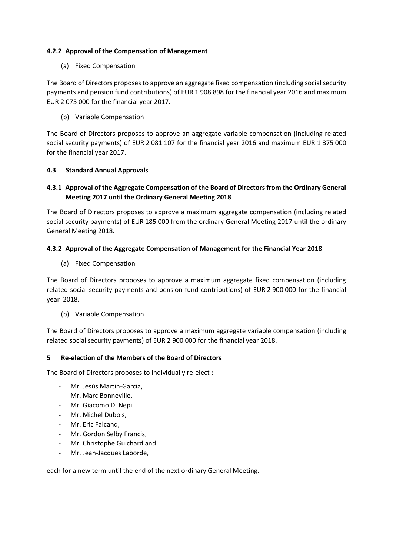## **4.2.2 Approval of the Compensation of Management**

### (a) Fixed Compensation

The Board of Directors proposes to approve an aggregate fixed compensation (including social security payments and pension fund contributions) of EUR 1 908 898 for the financial year 2016 and maximum EUR 2 075 000 for the financial year 2017.

(b) Variable Compensation

The Board of Directors proposes to approve an aggregate variable compensation (including related social security payments) of EUR 2 081 107 for the financial year 2016 and maximum EUR 1 375 000 for the financial year 2017.

### **4.3 Standard Annual Approvals**

# **4.3.1 Approval of the Aggregate Compensation of the Board of Directors from the Ordinary General Meeting 2017 until the Ordinary General Meeting 2018**

The Board of Directors proposes to approve a maximum aggregate compensation (including related social security payments) of EUR 185 000 from the ordinary General Meeting 2017 until the ordinary General Meeting 2018.

### **4.3.2 Approval of the Aggregate Compensation of Management for the Financial Year 2018**

(a) Fixed Compensation

The Board of Directors proposes to approve a maximum aggregate fixed compensation (including related social security payments and pension fund contributions) of EUR 2 900 000 for the financial year 2018.

(b) Variable Compensation

The Board of Directors proposes to approve a maximum aggregate variable compensation (including related social security payments) of EUR 2 900 000 for the financial year 2018.

### **5 Re-election of the Members of the Board of Directors**

The Board of Directors proposes to individually re-elect :

- Mr. Jesús Martin-Garcia,
- Mr. Marc Bonneville,
- Mr. Giacomo Di Nepi,
- Mr. Michel Dubois,
- Mr. Eric Falcand,
- Mr. Gordon Selby Francis,
- Mr. Christophe Guichard and
- Mr. Jean-Jacques Laborde,

each for a new term until the end of the next ordinary General Meeting.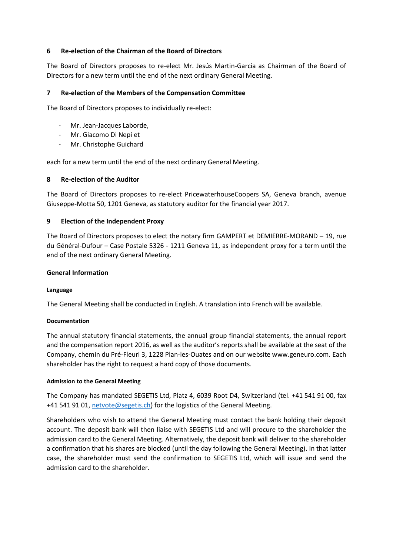### **6 Re-election of the Chairman of the Board of Directors**

The Board of Directors proposes to re-elect Mr. Jesús Martin-Garcia as Chairman of the Board of Directors for a new term until the end of the next ordinary General Meeting.

### **7 Re-election of the Members of the Compensation Committee**

The Board of Directors proposes to individually re-elect:

- Mr. Jean-Jacques Laborde,
- Mr. Giacomo Di Nepi et
- Mr. Christophe Guichard

each for a new term until the end of the next ordinary General Meeting.

#### **8 Re-election of the Auditor**

The Board of Directors proposes to re-elect PricewaterhouseCoopers SA, Geneva branch, avenue Giuseppe-Motta 50, 1201 Geneva, as statutory auditor for the financial year 2017.

#### **9 Election of the Independent Proxy**

The Board of Directors proposes to elect the notary firm GAMPERT et DEMIERRE-MORAND – 19, rue du Général-Dufour – Case Postale 5326 - 1211 Geneva 11, as independent proxy for a term until the end of the next ordinary General Meeting.

#### **General Information**

#### **Language**

The General Meeting shall be conducted in English. A translation into French will be available.

#### **Documentation**

The annual statutory financial statements, the annual group financial statements, the annual report and the compensation report 2016, as well as the auditor's reports shall be available at the seat of the Company, chemin du Pré-Fleuri 3, 1228 Plan-les-Ouates and on our website www.geneuro.com. Each shareholder has the right to request a hard copy of those documents.

#### **Admission to the General Meeting**

The Company has mandated SEGETIS Ltd, Platz 4, 6039 Root D4, Switzerland (tel. +41 541 91 00, fax +41 541 91 01, [netvote@segetis.ch\)](mailto:netvote@segetis.ch) for the logistics of the General Meeting.

Shareholders who wish to attend the General Meeting must contact the bank holding their deposit account. The deposit bank will then liaise with SEGETIS Ltd and will procure to the shareholder the admission card to the General Meeting. Alternatively, the deposit bank will deliver to the shareholder a confirmation that his shares are blocked (until the day following the General Meeting). In that latter case, the shareholder must send the confirmation to SEGETIS Ltd, which will issue and send the admission card to the shareholder.